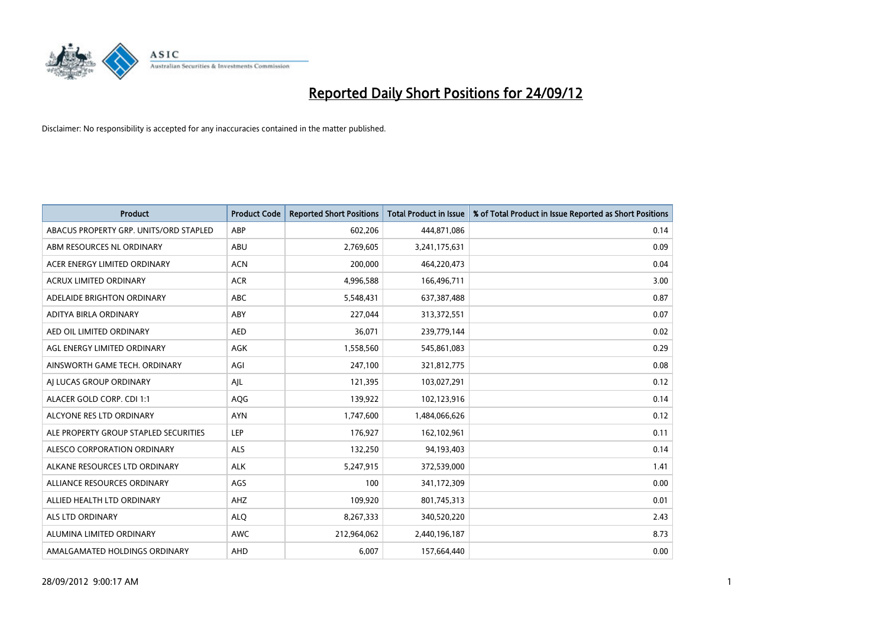

| <b>Product</b>                         | <b>Product Code</b> | <b>Reported Short Positions</b> | <b>Total Product in Issue</b> | % of Total Product in Issue Reported as Short Positions |
|----------------------------------------|---------------------|---------------------------------|-------------------------------|---------------------------------------------------------|
| ABACUS PROPERTY GRP. UNITS/ORD STAPLED | ABP                 | 602,206                         | 444,871,086                   | 0.14                                                    |
| ABM RESOURCES NL ORDINARY              | ABU                 | 2,769,605                       | 3,241,175,631                 | 0.09                                                    |
| ACER ENERGY LIMITED ORDINARY           | <b>ACN</b>          | 200,000                         | 464,220,473                   | 0.04                                                    |
| ACRUX LIMITED ORDINARY                 | <b>ACR</b>          | 4,996,588                       | 166,496,711                   | 3.00                                                    |
| ADELAIDE BRIGHTON ORDINARY             | <b>ABC</b>          | 5,548,431                       | 637, 387, 488                 | 0.87                                                    |
| ADITYA BIRLA ORDINARY                  | ABY                 | 227,044                         | 313,372,551                   | 0.07                                                    |
| AED OIL LIMITED ORDINARY               | <b>AED</b>          | 36,071                          | 239,779,144                   | 0.02                                                    |
| AGL ENERGY LIMITED ORDINARY            | AGK                 | 1,558,560                       | 545,861,083                   | 0.29                                                    |
| AINSWORTH GAME TECH. ORDINARY          | AGI                 | 247,100                         | 321,812,775                   | 0.08                                                    |
| AI LUCAS GROUP ORDINARY                | AJL                 | 121,395                         | 103,027,291                   | 0.12                                                    |
| ALACER GOLD CORP. CDI 1:1              | AQG                 | 139,922                         | 102,123,916                   | 0.14                                                    |
| ALCYONE RES LTD ORDINARY               | <b>AYN</b>          | 1,747,600                       | 1,484,066,626                 | 0.12                                                    |
| ALE PROPERTY GROUP STAPLED SECURITIES  | LEP                 | 176,927                         | 162,102,961                   | 0.11                                                    |
| ALESCO CORPORATION ORDINARY            | <b>ALS</b>          | 132,250                         | 94,193,403                    | 0.14                                                    |
| ALKANE RESOURCES LTD ORDINARY          | <b>ALK</b>          | 5,247,915                       | 372,539,000                   | 1.41                                                    |
| ALLIANCE RESOURCES ORDINARY            | AGS                 | 100                             | 341,172,309                   | 0.00                                                    |
| ALLIED HEALTH LTD ORDINARY             | AHZ                 | 109,920                         | 801,745,313                   | 0.01                                                    |
| <b>ALS LTD ORDINARY</b>                | <b>ALQ</b>          | 8,267,333                       | 340,520,220                   | 2.43                                                    |
| ALUMINA LIMITED ORDINARY               | <b>AWC</b>          | 212,964,062                     | 2,440,196,187                 | 8.73                                                    |
| AMALGAMATED HOLDINGS ORDINARY          | AHD                 | 6.007                           | 157,664,440                   | 0.00                                                    |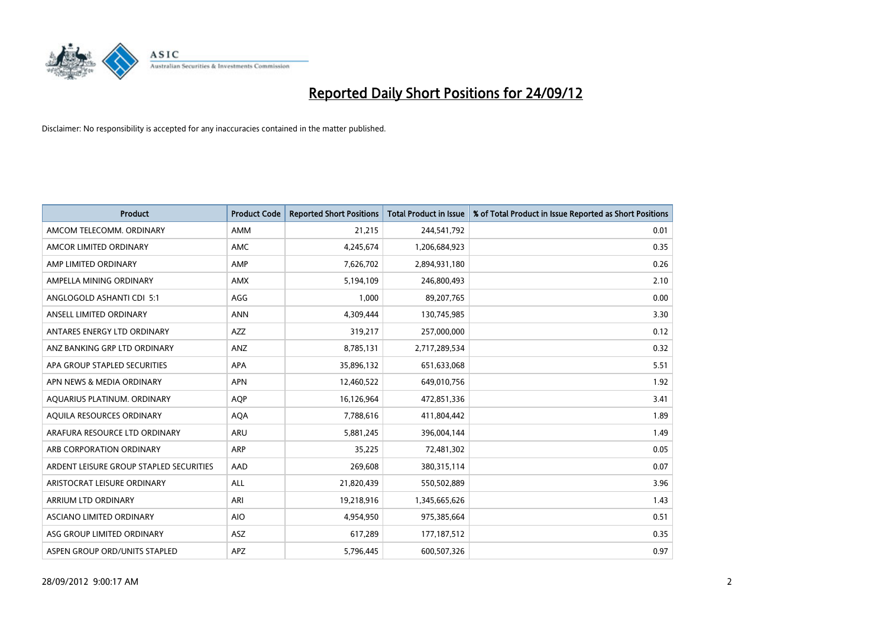

| <b>Product</b>                          | <b>Product Code</b> | <b>Reported Short Positions</b> | <b>Total Product in Issue</b> | % of Total Product in Issue Reported as Short Positions |
|-----------------------------------------|---------------------|---------------------------------|-------------------------------|---------------------------------------------------------|
| AMCOM TELECOMM, ORDINARY                | <b>AMM</b>          | 21,215                          | 244,541,792                   | 0.01                                                    |
| AMCOR LIMITED ORDINARY                  | <b>AMC</b>          | 4,245,674                       | 1,206,684,923                 | 0.35                                                    |
| AMP LIMITED ORDINARY                    | AMP                 | 7,626,702                       | 2,894,931,180                 | 0.26                                                    |
| AMPELLA MINING ORDINARY                 | <b>AMX</b>          | 5,194,109                       | 246,800,493                   | 2.10                                                    |
| ANGLOGOLD ASHANTI CDI 5:1               | AGG                 | 1,000                           | 89,207,765                    | 0.00                                                    |
| ANSELL LIMITED ORDINARY                 | <b>ANN</b>          | 4,309,444                       | 130,745,985                   | 3.30                                                    |
| ANTARES ENERGY LTD ORDINARY             | <b>AZZ</b>          | 319,217                         | 257,000,000                   | 0.12                                                    |
| ANZ BANKING GRP LTD ORDINARY            | ANZ                 | 8,785,131                       | 2,717,289,534                 | 0.32                                                    |
| APA GROUP STAPLED SECURITIES            | <b>APA</b>          | 35,896,132                      | 651,633,068                   | 5.51                                                    |
| APN NEWS & MEDIA ORDINARY               | <b>APN</b>          | 12,460,522                      | 649,010,756                   | 1.92                                                    |
| AQUARIUS PLATINUM. ORDINARY             | <b>AOP</b>          | 16,126,964                      | 472,851,336                   | 3.41                                                    |
| AQUILA RESOURCES ORDINARY               | <b>AQA</b>          | 7,788,616                       | 411,804,442                   | 1.89                                                    |
| ARAFURA RESOURCE LTD ORDINARY           | ARU                 | 5,881,245                       | 396,004,144                   | 1.49                                                    |
| ARB CORPORATION ORDINARY                | <b>ARP</b>          | 35,225                          | 72,481,302                    | 0.05                                                    |
| ARDENT LEISURE GROUP STAPLED SECURITIES | AAD                 | 269,608                         | 380,315,114                   | 0.07                                                    |
| ARISTOCRAT LEISURE ORDINARY             | ALL                 | 21,820,439                      | 550,502,889                   | 3.96                                                    |
| ARRIUM LTD ORDINARY                     | ARI                 | 19,218,916                      | 1,345,665,626                 | 1.43                                                    |
| ASCIANO LIMITED ORDINARY                | <b>AIO</b>          | 4,954,950                       | 975,385,664                   | 0.51                                                    |
| ASG GROUP LIMITED ORDINARY              | <b>ASZ</b>          | 617,289                         | 177, 187, 512                 | 0.35                                                    |
| ASPEN GROUP ORD/UNITS STAPLED           | APZ                 | 5,796,445                       | 600,507,326                   | 0.97                                                    |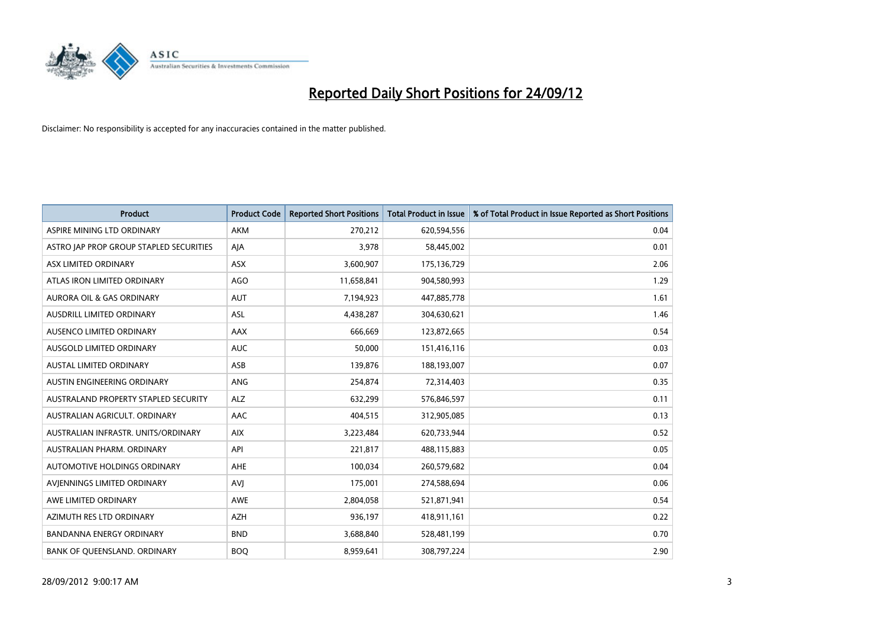

| <b>Product</b>                          | <b>Product Code</b> | <b>Reported Short Positions</b> | <b>Total Product in Issue</b> | % of Total Product in Issue Reported as Short Positions |
|-----------------------------------------|---------------------|---------------------------------|-------------------------------|---------------------------------------------------------|
| ASPIRE MINING LTD ORDINARY              | <b>AKM</b>          | 270,212                         | 620,594,556                   | 0.04                                                    |
| ASTRO JAP PROP GROUP STAPLED SECURITIES | AJA                 | 3,978                           | 58,445,002                    | 0.01                                                    |
| ASX LIMITED ORDINARY                    | <b>ASX</b>          | 3,600,907                       | 175,136,729                   | 2.06                                                    |
| ATLAS IRON LIMITED ORDINARY             | <b>AGO</b>          | 11,658,841                      | 904,580,993                   | 1.29                                                    |
| <b>AURORA OIL &amp; GAS ORDINARY</b>    | <b>AUT</b>          | 7,194,923                       | 447,885,778                   | 1.61                                                    |
| AUSDRILL LIMITED ORDINARY               | ASL                 | 4,438,287                       | 304,630,621                   | 1.46                                                    |
| AUSENCO LIMITED ORDINARY                | AAX                 | 666.669                         | 123,872,665                   | 0.54                                                    |
| AUSGOLD LIMITED ORDINARY                | <b>AUC</b>          | 50,000                          | 151,416,116                   | 0.03                                                    |
| <b>AUSTAL LIMITED ORDINARY</b>          | ASB                 | 139,876                         | 188,193,007                   | 0.07                                                    |
| AUSTIN ENGINEERING ORDINARY             | ANG                 | 254,874                         | 72,314,403                    | 0.35                                                    |
| AUSTRALAND PROPERTY STAPLED SECURITY    | <b>ALZ</b>          | 632,299                         | 576,846,597                   | 0.11                                                    |
| AUSTRALIAN AGRICULT. ORDINARY           | AAC                 | 404,515                         | 312,905,085                   | 0.13                                                    |
| AUSTRALIAN INFRASTR, UNITS/ORDINARY     | <b>AIX</b>          | 3,223,484                       | 620,733,944                   | 0.52                                                    |
| AUSTRALIAN PHARM, ORDINARY              | API                 | 221,817                         | 488,115,883                   | 0.05                                                    |
| AUTOMOTIVE HOLDINGS ORDINARY            | <b>AHE</b>          | 100,034                         | 260,579,682                   | 0.04                                                    |
| AVIENNINGS LIMITED ORDINARY             | <b>AVI</b>          | 175,001                         | 274,588,694                   | 0.06                                                    |
| AWE LIMITED ORDINARY                    | AWE                 | 2,804,058                       | 521,871,941                   | 0.54                                                    |
| AZIMUTH RES LTD ORDINARY                | <b>AZH</b>          | 936,197                         | 418,911,161                   | 0.22                                                    |
| <b>BANDANNA ENERGY ORDINARY</b>         | <b>BND</b>          | 3,688,840                       | 528,481,199                   | 0.70                                                    |
| BANK OF QUEENSLAND. ORDINARY            | <b>BOO</b>          | 8.959.641                       | 308,797,224                   | 2.90                                                    |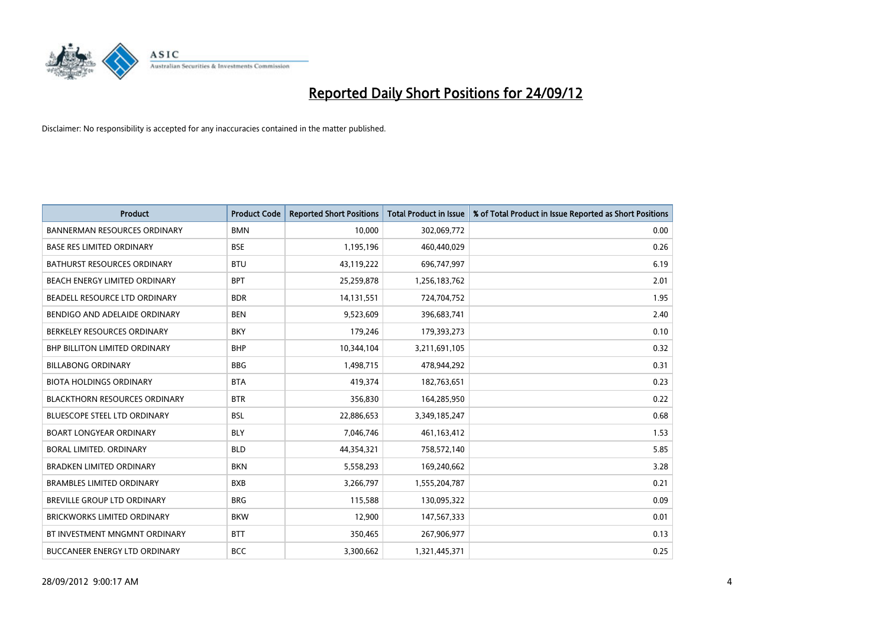

| <b>Product</b>                       | <b>Product Code</b> | <b>Reported Short Positions</b> | <b>Total Product in Issue</b> | % of Total Product in Issue Reported as Short Positions |
|--------------------------------------|---------------------|---------------------------------|-------------------------------|---------------------------------------------------------|
| <b>BANNERMAN RESOURCES ORDINARY</b>  | <b>BMN</b>          | 10.000                          | 302,069,772                   | 0.00                                                    |
| <b>BASE RES LIMITED ORDINARY</b>     | <b>BSE</b>          | 1,195,196                       | 460,440,029                   | 0.26                                                    |
| <b>BATHURST RESOURCES ORDINARY</b>   | <b>BTU</b>          | 43,119,222                      | 696,747,997                   | 6.19                                                    |
| BEACH ENERGY LIMITED ORDINARY        | <b>BPT</b>          | 25,259,878                      | 1,256,183,762                 | 2.01                                                    |
| BEADELL RESOURCE LTD ORDINARY        | <b>BDR</b>          | 14,131,551                      | 724,704,752                   | 1.95                                                    |
| BENDIGO AND ADELAIDE ORDINARY        | <b>BEN</b>          | 9,523,609                       | 396,683,741                   | 2.40                                                    |
| BERKELEY RESOURCES ORDINARY          | <b>BKY</b>          | 179,246                         | 179,393,273                   | 0.10                                                    |
| <b>BHP BILLITON LIMITED ORDINARY</b> | <b>BHP</b>          | 10,344,104                      | 3,211,691,105                 | 0.32                                                    |
| <b>BILLABONG ORDINARY</b>            | <b>BBG</b>          | 1,498,715                       | 478,944,292                   | 0.31                                                    |
| <b>BIOTA HOLDINGS ORDINARY</b>       | <b>BTA</b>          | 419,374                         | 182,763,651                   | 0.23                                                    |
| <b>BLACKTHORN RESOURCES ORDINARY</b> | <b>BTR</b>          | 356,830                         | 164,285,950                   | 0.22                                                    |
| BLUESCOPE STEEL LTD ORDINARY         | <b>BSL</b>          | 22,886,653                      | 3,349,185,247                 | 0.68                                                    |
| <b>BOART LONGYEAR ORDINARY</b>       | <b>BLY</b>          | 7,046,746                       | 461,163,412                   | 1.53                                                    |
| BORAL LIMITED, ORDINARY              | <b>BLD</b>          | 44,354,321                      | 758,572,140                   | 5.85                                                    |
| <b>BRADKEN LIMITED ORDINARY</b>      | <b>BKN</b>          | 5,558,293                       | 169,240,662                   | 3.28                                                    |
| <b>BRAMBLES LIMITED ORDINARY</b>     | <b>BXB</b>          | 3,266,797                       | 1,555,204,787                 | 0.21                                                    |
| BREVILLE GROUP LTD ORDINARY          | <b>BRG</b>          | 115,588                         | 130,095,322                   | 0.09                                                    |
| <b>BRICKWORKS LIMITED ORDINARY</b>   | <b>BKW</b>          | 12,900                          | 147,567,333                   | 0.01                                                    |
| BT INVESTMENT MNGMNT ORDINARY        | <b>BTT</b>          | 350,465                         | 267,906,977                   | 0.13                                                    |
| BUCCANEER ENERGY LTD ORDINARY        | <b>BCC</b>          | 3,300,662                       | 1,321,445,371                 | 0.25                                                    |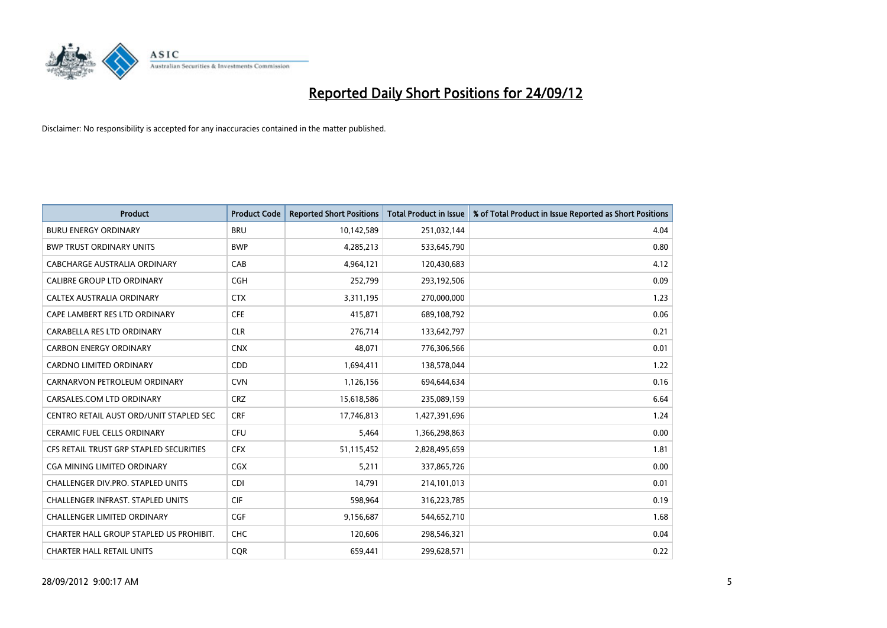

| <b>Product</b>                           | <b>Product Code</b> | <b>Reported Short Positions</b> | <b>Total Product in Issue</b> | % of Total Product in Issue Reported as Short Positions |
|------------------------------------------|---------------------|---------------------------------|-------------------------------|---------------------------------------------------------|
| <b>BURU ENERGY ORDINARY</b>              | <b>BRU</b>          | 10,142,589                      | 251,032,144                   | 4.04                                                    |
| <b>BWP TRUST ORDINARY UNITS</b>          | <b>BWP</b>          | 4,285,213                       | 533,645,790                   | 0.80                                                    |
| CABCHARGE AUSTRALIA ORDINARY             | CAB                 | 4,964,121                       | 120,430,683                   | 4.12                                                    |
| CALIBRE GROUP LTD ORDINARY               | <b>CGH</b>          | 252,799                         | 293,192,506                   | 0.09                                                    |
| CALTEX AUSTRALIA ORDINARY                | <b>CTX</b>          | 3,311,195                       | 270,000,000                   | 1.23                                                    |
| CAPE LAMBERT RES LTD ORDINARY            | <b>CFE</b>          | 415,871                         | 689,108,792                   | 0.06                                                    |
| CARABELLA RES LTD ORDINARY               | <b>CLR</b>          | 276.714                         | 133,642,797                   | 0.21                                                    |
| <b>CARBON ENERGY ORDINARY</b>            | <b>CNX</b>          | 48,071                          | 776,306,566                   | 0.01                                                    |
| CARDNO LIMITED ORDINARY                  | CDD                 | 1,694,411                       | 138,578,044                   | 1.22                                                    |
| CARNARVON PETROLEUM ORDINARY             | <b>CVN</b>          | 1,126,156                       | 694,644,634                   | 0.16                                                    |
| CARSALES.COM LTD ORDINARY                | <b>CRZ</b>          | 15,618,586                      | 235,089,159                   | 6.64                                                    |
| CENTRO RETAIL AUST ORD/UNIT STAPLED SEC  | <b>CRF</b>          | 17,746,813                      | 1,427,391,696                 | 1.24                                                    |
| CERAMIC FUEL CELLS ORDINARY              | <b>CFU</b>          | 5,464                           | 1,366,298,863                 | 0.00                                                    |
| CFS RETAIL TRUST GRP STAPLED SECURITIES  | <b>CFX</b>          | 51,115,452                      | 2,828,495,659                 | 1.81                                                    |
| CGA MINING LIMITED ORDINARY              | <b>CGX</b>          | 5,211                           | 337,865,726                   | 0.00                                                    |
| CHALLENGER DIV.PRO. STAPLED UNITS        | <b>CDI</b>          | 14,791                          | 214,101,013                   | 0.01                                                    |
| <b>CHALLENGER INFRAST, STAPLED UNITS</b> | <b>CIF</b>          | 598,964                         | 316,223,785                   | 0.19                                                    |
| <b>CHALLENGER LIMITED ORDINARY</b>       | <b>CGF</b>          | 9,156,687                       | 544,652,710                   | 1.68                                                    |
| CHARTER HALL GROUP STAPLED US PROHIBIT.  | <b>CHC</b>          | 120,606                         | 298,546,321                   | 0.04                                                    |
| <b>CHARTER HALL RETAIL UNITS</b>         | <b>COR</b>          | 659.441                         | 299.628.571                   | 0.22                                                    |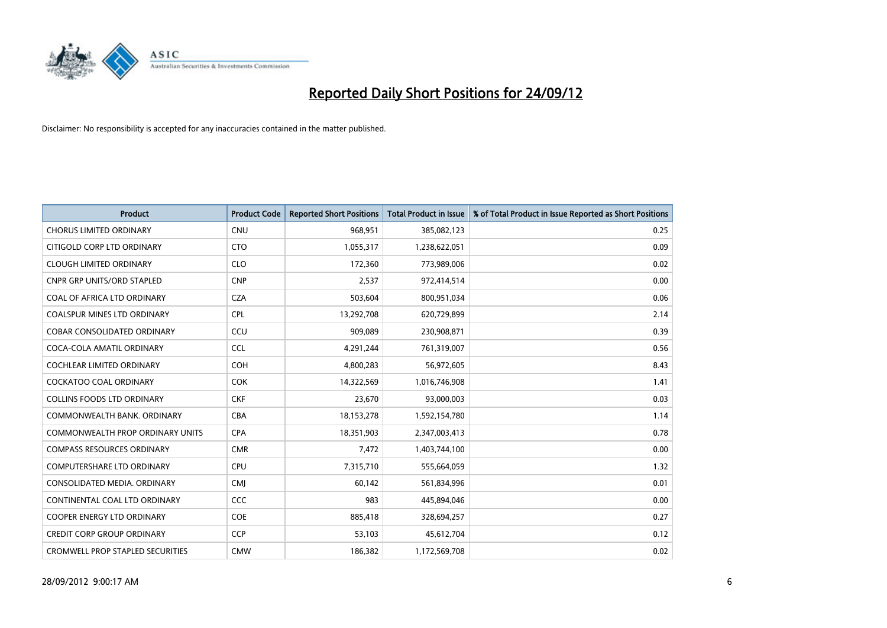

| <b>Product</b>                          | <b>Product Code</b> | <b>Reported Short Positions</b> | <b>Total Product in Issue</b> | % of Total Product in Issue Reported as Short Positions |
|-----------------------------------------|---------------------|---------------------------------|-------------------------------|---------------------------------------------------------|
| <b>CHORUS LIMITED ORDINARY</b>          | <b>CNU</b>          | 968,951                         | 385,082,123                   | 0.25                                                    |
| CITIGOLD CORP LTD ORDINARY              | <b>CTO</b>          | 1,055,317                       | 1,238,622,051                 | 0.09                                                    |
| <b>CLOUGH LIMITED ORDINARY</b>          | <b>CLO</b>          | 172,360                         | 773,989,006                   | 0.02                                                    |
| <b>CNPR GRP UNITS/ORD STAPLED</b>       | <b>CNP</b>          | 2,537                           | 972,414,514                   | 0.00                                                    |
| COAL OF AFRICA LTD ORDINARY             | <b>CZA</b>          | 503,604                         | 800,951,034                   | 0.06                                                    |
| <b>COALSPUR MINES LTD ORDINARY</b>      | CPL                 | 13,292,708                      | 620,729,899                   | 2.14                                                    |
| <b>COBAR CONSOLIDATED ORDINARY</b>      | CCU                 | 909.089                         | 230,908,871                   | 0.39                                                    |
| COCA-COLA AMATIL ORDINARY               | <b>CCL</b>          | 4,291,244                       | 761,319,007                   | 0.56                                                    |
| COCHLEAR LIMITED ORDINARY               | <b>COH</b>          | 4,800,283                       | 56,972,605                    | 8.43                                                    |
| <b>COCKATOO COAL ORDINARY</b>           | <b>COK</b>          | 14,322,569                      | 1,016,746,908                 | 1.41                                                    |
| <b>COLLINS FOODS LTD ORDINARY</b>       | <b>CKF</b>          | 23,670                          | 93,000,003                    | 0.03                                                    |
| COMMONWEALTH BANK, ORDINARY             | <b>CBA</b>          | 18,153,278                      | 1,592,154,780                 | 1.14                                                    |
| <b>COMMONWEALTH PROP ORDINARY UNITS</b> | <b>CPA</b>          | 18,351,903                      | 2,347,003,413                 | 0.78                                                    |
| <b>COMPASS RESOURCES ORDINARY</b>       | <b>CMR</b>          | 7,472                           | 1,403,744,100                 | 0.00                                                    |
| <b>COMPUTERSHARE LTD ORDINARY</b>       | CPU                 | 7,315,710                       | 555,664,059                   | 1.32                                                    |
| CONSOLIDATED MEDIA. ORDINARY            | <b>CMI</b>          | 60,142                          | 561,834,996                   | 0.01                                                    |
| CONTINENTAL COAL LTD ORDINARY           | CCC                 | 983                             | 445,894,046                   | 0.00                                                    |
| COOPER ENERGY LTD ORDINARY              | <b>COE</b>          | 885,418                         | 328,694,257                   | 0.27                                                    |
| <b>CREDIT CORP GROUP ORDINARY</b>       | <b>CCP</b>          | 53,103                          | 45,612,704                    | 0.12                                                    |
| <b>CROMWELL PROP STAPLED SECURITIES</b> | <b>CMW</b>          | 186,382                         | 1,172,569,708                 | 0.02                                                    |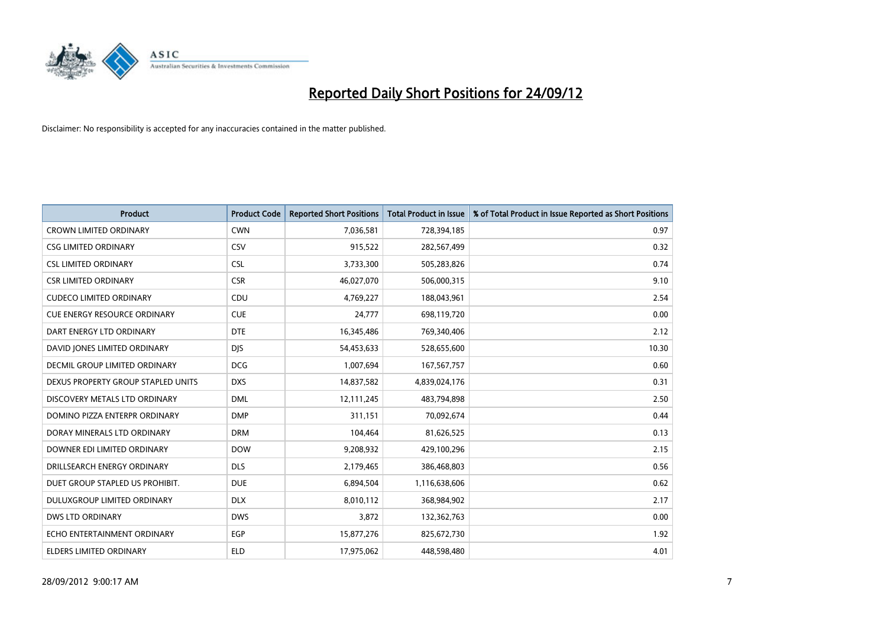

| <b>Product</b>                       | <b>Product Code</b> | <b>Reported Short Positions</b> | <b>Total Product in Issue</b> | % of Total Product in Issue Reported as Short Positions |
|--------------------------------------|---------------------|---------------------------------|-------------------------------|---------------------------------------------------------|
| <b>CROWN LIMITED ORDINARY</b>        | <b>CWN</b>          | 7,036,581                       | 728,394,185                   | 0.97                                                    |
| <b>CSG LIMITED ORDINARY</b>          | CSV                 | 915,522                         | 282,567,499                   | 0.32                                                    |
| <b>CSL LIMITED ORDINARY</b>          | <b>CSL</b>          | 3,733,300                       | 505,283,826                   | 0.74                                                    |
| <b>CSR LIMITED ORDINARY</b>          | <b>CSR</b>          | 46,027,070                      | 506,000,315                   | 9.10                                                    |
| <b>CUDECO LIMITED ORDINARY</b>       | CDU                 | 4,769,227                       | 188,043,961                   | 2.54                                                    |
| <b>CUE ENERGY RESOURCE ORDINARY</b>  | <b>CUE</b>          | 24,777                          | 698,119,720                   | 0.00                                                    |
| DART ENERGY LTD ORDINARY             | <b>DTE</b>          | 16,345,486                      | 769,340,406                   | 2.12                                                    |
| DAVID JONES LIMITED ORDINARY         | <b>DIS</b>          | 54,453,633                      | 528,655,600                   | 10.30                                                   |
| <b>DECMIL GROUP LIMITED ORDINARY</b> | <b>DCG</b>          | 1,007,694                       | 167,567,757                   | 0.60                                                    |
| DEXUS PROPERTY GROUP STAPLED UNITS   | <b>DXS</b>          | 14,837,582                      | 4,839,024,176                 | 0.31                                                    |
| DISCOVERY METALS LTD ORDINARY        | <b>DML</b>          | 12,111,245                      | 483,794,898                   | 2.50                                                    |
| DOMINO PIZZA ENTERPR ORDINARY        | <b>DMP</b>          | 311,151                         | 70,092,674                    | 0.44                                                    |
| DORAY MINERALS LTD ORDINARY          | <b>DRM</b>          | 104,464                         | 81,626,525                    | 0.13                                                    |
| DOWNER EDI LIMITED ORDINARY          | <b>DOW</b>          | 9,208,932                       | 429,100,296                   | 2.15                                                    |
| DRILLSEARCH ENERGY ORDINARY          | <b>DLS</b>          | 2,179,465                       | 386,468,803                   | 0.56                                                    |
| DUET GROUP STAPLED US PROHIBIT.      | <b>DUE</b>          | 6,894,504                       | 1,116,638,606                 | 0.62                                                    |
| DULUXGROUP LIMITED ORDINARY          | <b>DLX</b>          | 8,010,112                       | 368,984,902                   | 2.17                                                    |
| <b>DWS LTD ORDINARY</b>              | <b>DWS</b>          | 3,872                           | 132,362,763                   | 0.00                                                    |
| ECHO ENTERTAINMENT ORDINARY          | <b>EGP</b>          | 15,877,276                      | 825,672,730                   | 1.92                                                    |
| ELDERS LIMITED ORDINARY              | <b>ELD</b>          | 17,975,062                      | 448,598,480                   | 4.01                                                    |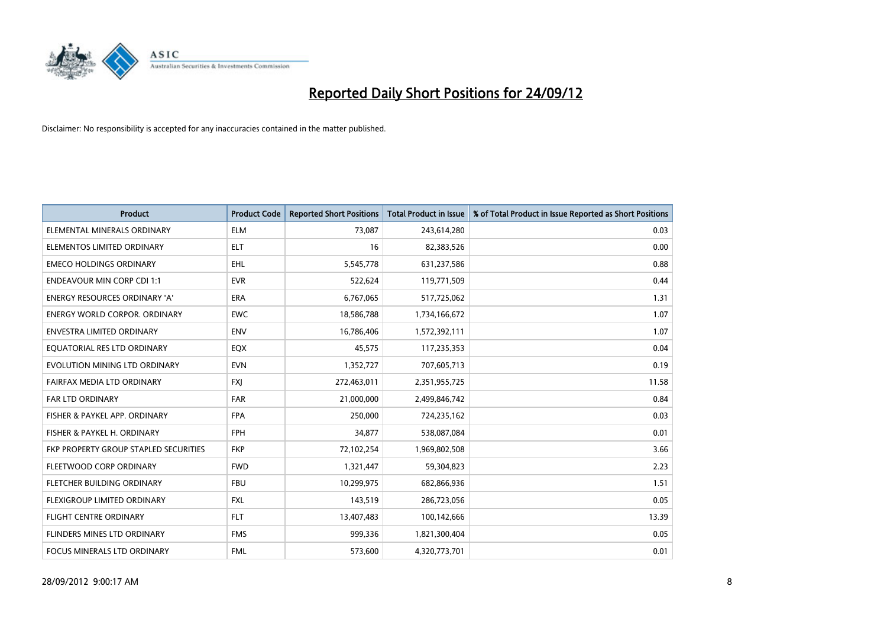

| <b>Product</b>                               | <b>Product Code</b> | <b>Reported Short Positions</b> | <b>Total Product in Issue</b> | % of Total Product in Issue Reported as Short Positions |
|----------------------------------------------|---------------------|---------------------------------|-------------------------------|---------------------------------------------------------|
| ELEMENTAL MINERALS ORDINARY                  | <b>ELM</b>          | 73,087                          | 243,614,280                   | 0.03                                                    |
| ELEMENTOS LIMITED ORDINARY                   | <b>ELT</b>          | 16                              | 82,383,526                    | 0.00                                                    |
| <b>EMECO HOLDINGS ORDINARY</b>               | <b>EHL</b>          | 5,545,778                       | 631,237,586                   | 0.88                                                    |
| <b>ENDEAVOUR MIN CORP CDI 1:1</b>            | <b>EVR</b>          | 522,624                         | 119,771,509                   | 0.44                                                    |
| <b>ENERGY RESOURCES ORDINARY 'A'</b>         | <b>ERA</b>          | 6,767,065                       | 517,725,062                   | 1.31                                                    |
| <b>ENERGY WORLD CORPOR, ORDINARY</b>         | <b>EWC</b>          | 18,586,788                      | 1,734,166,672                 | 1.07                                                    |
| ENVESTRA LIMITED ORDINARY                    | <b>ENV</b>          | 16,786,406                      | 1,572,392,111                 | 1.07                                                    |
| EQUATORIAL RES LTD ORDINARY                  | <b>EQX</b>          | 45,575                          | 117,235,353                   | 0.04                                                    |
| EVOLUTION MINING LTD ORDINARY                | <b>EVN</b>          | 1,352,727                       | 707,605,713                   | 0.19                                                    |
| FAIRFAX MEDIA LTD ORDINARY                   | <b>FXI</b>          | 272,463,011                     | 2,351,955,725                 | 11.58                                                   |
| FAR LTD ORDINARY                             | <b>FAR</b>          | 21,000,000                      | 2,499,846,742                 | 0.84                                                    |
| FISHER & PAYKEL APP. ORDINARY                | <b>FPA</b>          | 250,000                         | 724,235,162                   | 0.03                                                    |
| FISHER & PAYKEL H. ORDINARY                  | <b>FPH</b>          | 34,877                          | 538,087,084                   | 0.01                                                    |
| <b>FKP PROPERTY GROUP STAPLED SECURITIES</b> | <b>FKP</b>          | 72,102,254                      | 1,969,802,508                 | 3.66                                                    |
| FLEETWOOD CORP ORDINARY                      | <b>FWD</b>          | 1,321,447                       | 59,304,823                    | 2.23                                                    |
| FLETCHER BUILDING ORDINARY                   | <b>FBU</b>          | 10,299,975                      | 682,866,936                   | 1.51                                                    |
| FLEXIGROUP LIMITED ORDINARY                  | <b>FXL</b>          | 143,519                         | 286,723,056                   | 0.05                                                    |
| <b>FLIGHT CENTRE ORDINARY</b>                | <b>FLT</b>          | 13,407,483                      | 100,142,666                   | 13.39                                                   |
| FLINDERS MINES LTD ORDINARY                  | <b>FMS</b>          | 999,336                         | 1,821,300,404                 | 0.05                                                    |
| FOCUS MINERALS LTD ORDINARY                  | <b>FML</b>          | 573,600                         | 4,320,773,701                 | 0.01                                                    |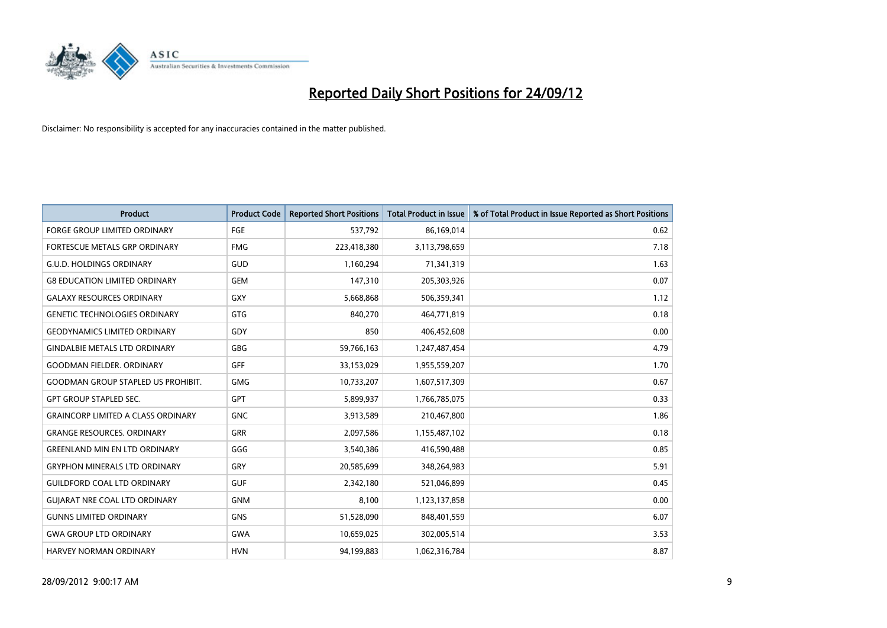

| <b>Product</b>                            | <b>Product Code</b> | <b>Reported Short Positions</b> | <b>Total Product in Issue</b> | % of Total Product in Issue Reported as Short Positions |
|-------------------------------------------|---------------------|---------------------------------|-------------------------------|---------------------------------------------------------|
| <b>FORGE GROUP LIMITED ORDINARY</b>       | FGE                 | 537,792                         | 86,169,014                    | 0.62                                                    |
| FORTESCUE METALS GRP ORDINARY             | <b>FMG</b>          | 223,418,380                     | 3,113,798,659                 | 7.18                                                    |
| <b>G.U.D. HOLDINGS ORDINARY</b>           | GUD                 | 1,160,294                       | 71,341,319                    | 1.63                                                    |
| <b>G8 EDUCATION LIMITED ORDINARY</b>      | <b>GEM</b>          | 147,310                         | 205,303,926                   | 0.07                                                    |
| <b>GALAXY RESOURCES ORDINARY</b>          | <b>GXY</b>          | 5,668,868                       | 506,359,341                   | 1.12                                                    |
| <b>GENETIC TECHNOLOGIES ORDINARY</b>      | <b>GTG</b>          | 840,270                         | 464,771,819                   | 0.18                                                    |
| <b>GEODYNAMICS LIMITED ORDINARY</b>       | GDY                 | 850                             | 406,452,608                   | 0.00                                                    |
| <b>GINDALBIE METALS LTD ORDINARY</b>      | <b>GBG</b>          | 59,766,163                      | 1,247,487,454                 | 4.79                                                    |
| <b>GOODMAN FIELDER, ORDINARY</b>          | <b>GFF</b>          | 33,153,029                      | 1,955,559,207                 | 1.70                                                    |
| <b>GOODMAN GROUP STAPLED US PROHIBIT.</b> | <b>GMG</b>          | 10,733,207                      | 1,607,517,309                 | 0.67                                                    |
| <b>GPT GROUP STAPLED SEC.</b>             | <b>GPT</b>          | 5,899,937                       | 1,766,785,075                 | 0.33                                                    |
| <b>GRAINCORP LIMITED A CLASS ORDINARY</b> | <b>GNC</b>          | 3,913,589                       | 210,467,800                   | 1.86                                                    |
| <b>GRANGE RESOURCES. ORDINARY</b>         | <b>GRR</b>          | 2,097,586                       | 1,155,487,102                 | 0.18                                                    |
| <b>GREENLAND MIN EN LTD ORDINARY</b>      | GGG                 | 3,540,386                       | 416,590,488                   | 0.85                                                    |
| <b>GRYPHON MINERALS LTD ORDINARY</b>      | GRY                 | 20,585,699                      | 348,264,983                   | 5.91                                                    |
| <b>GUILDFORD COAL LTD ORDINARY</b>        | <b>GUF</b>          | 2,342,180                       | 521,046,899                   | 0.45                                                    |
| <b>GUIARAT NRE COAL LTD ORDINARY</b>      | <b>GNM</b>          | 8,100                           | 1,123,137,858                 | 0.00                                                    |
| <b>GUNNS LIMITED ORDINARY</b>             | <b>GNS</b>          | 51,528,090                      | 848,401,559                   | 6.07                                                    |
| <b>GWA GROUP LTD ORDINARY</b>             | <b>GWA</b>          | 10,659,025                      | 302,005,514                   | 3.53                                                    |
| HARVEY NORMAN ORDINARY                    | <b>HVN</b>          | 94,199,883                      | 1,062,316,784                 | 8.87                                                    |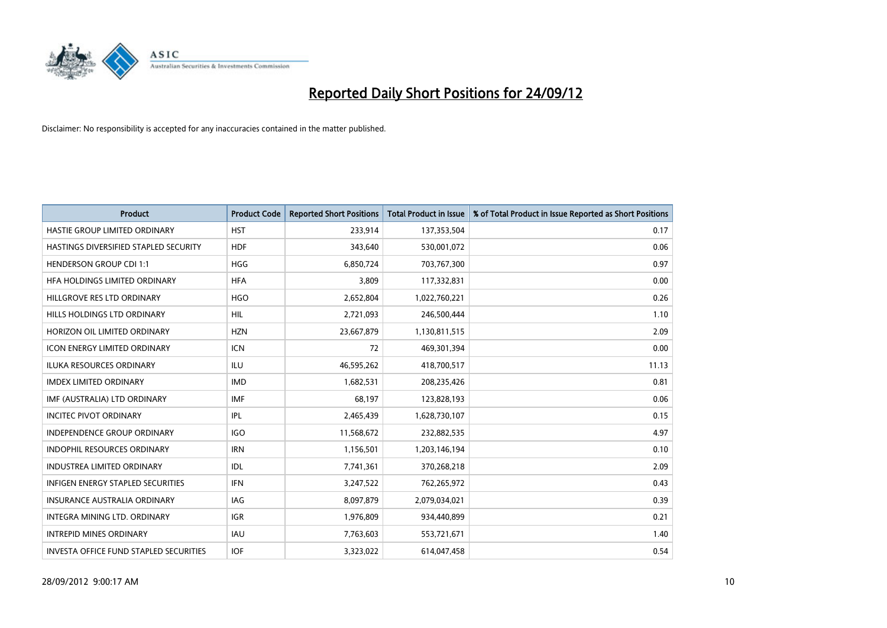

| <b>Product</b>                         | <b>Product Code</b> | <b>Reported Short Positions</b> | <b>Total Product in Issue</b> | % of Total Product in Issue Reported as Short Positions |
|----------------------------------------|---------------------|---------------------------------|-------------------------------|---------------------------------------------------------|
| HASTIE GROUP LIMITED ORDINARY          | <b>HST</b>          | 233,914                         | 137,353,504                   | 0.17                                                    |
| HASTINGS DIVERSIFIED STAPLED SECURITY  | <b>HDF</b>          | 343,640                         | 530,001,072                   | 0.06                                                    |
| <b>HENDERSON GROUP CDI 1:1</b>         | <b>HGG</b>          | 6,850,724                       | 703,767,300                   | 0.97                                                    |
| HFA HOLDINGS LIMITED ORDINARY          | <b>HFA</b>          | 3,809                           | 117,332,831                   | 0.00                                                    |
| HILLGROVE RES LTD ORDINARY             | <b>HGO</b>          | 2,652,804                       | 1,022,760,221                 | 0.26                                                    |
| HILLS HOLDINGS LTD ORDINARY            | <b>HIL</b>          | 2,721,093                       | 246,500,444                   | 1.10                                                    |
| HORIZON OIL LIMITED ORDINARY           | <b>HZN</b>          | 23,667,879                      | 1,130,811,515                 | 2.09                                                    |
| ICON ENERGY LIMITED ORDINARY           | <b>ICN</b>          | 72                              | 469,301,394                   | 0.00                                                    |
| <b>ILUKA RESOURCES ORDINARY</b>        | ILU                 | 46,595,262                      | 418,700,517                   | 11.13                                                   |
| <b>IMDEX LIMITED ORDINARY</b>          | <b>IMD</b>          | 1,682,531                       | 208,235,426                   | 0.81                                                    |
| IMF (AUSTRALIA) LTD ORDINARY           | <b>IMF</b>          | 68,197                          | 123,828,193                   | 0.06                                                    |
| <b>INCITEC PIVOT ORDINARY</b>          | <b>IPL</b>          | 2,465,439                       | 1,628,730,107                 | 0.15                                                    |
| INDEPENDENCE GROUP ORDINARY            | <b>IGO</b>          | 11,568,672                      | 232,882,535                   | 4.97                                                    |
| <b>INDOPHIL RESOURCES ORDINARY</b>     | <b>IRN</b>          | 1,156,501                       | 1,203,146,194                 | 0.10                                                    |
| <b>INDUSTREA LIMITED ORDINARY</b>      | IDL                 | 7,741,361                       | 370,268,218                   | 2.09                                                    |
| INFIGEN ENERGY STAPLED SECURITIES      | <b>IFN</b>          | 3,247,522                       | 762,265,972                   | 0.43                                                    |
| <b>INSURANCE AUSTRALIA ORDINARY</b>    | IAG                 | 8,097,879                       | 2,079,034,021                 | 0.39                                                    |
| INTEGRA MINING LTD. ORDINARY           | <b>IGR</b>          | 1,976,809                       | 934,440,899                   | 0.21                                                    |
| <b>INTREPID MINES ORDINARY</b>         | <b>IAU</b>          | 7,763,603                       | 553,721,671                   | 1.40                                                    |
| INVESTA OFFICE FUND STAPLED SECURITIES | <b>IOF</b>          | 3,323,022                       | 614,047,458                   | 0.54                                                    |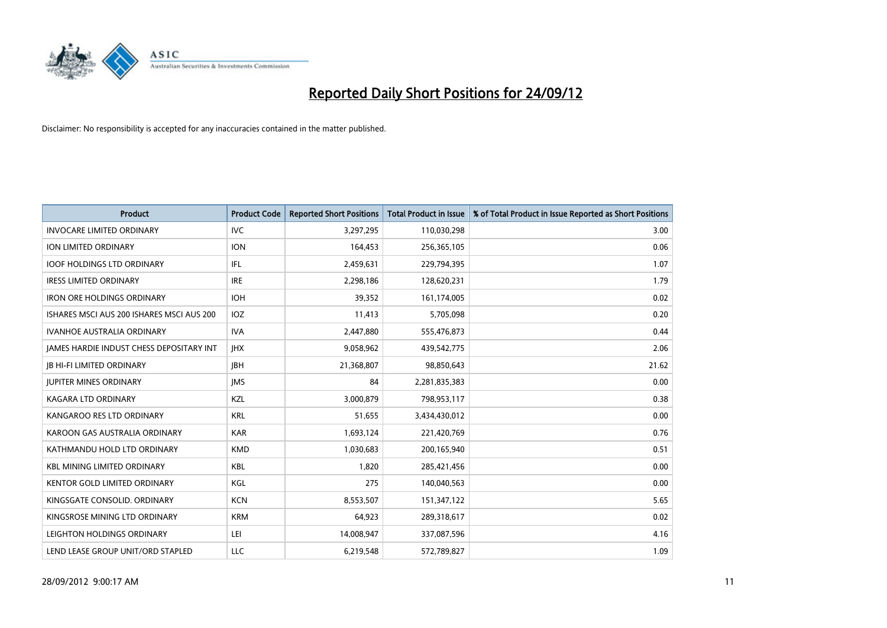

| <b>Product</b>                            | <b>Product Code</b> | <b>Reported Short Positions</b> | <b>Total Product in Issue</b> | % of Total Product in Issue Reported as Short Positions |
|-------------------------------------------|---------------------|---------------------------------|-------------------------------|---------------------------------------------------------|
| <b>INVOCARE LIMITED ORDINARY</b>          | <b>IVC</b>          | 3,297,295                       | 110,030,298                   | 3.00                                                    |
| ION LIMITED ORDINARY                      | <b>ION</b>          | 164,453                         | 256,365,105                   | 0.06                                                    |
| <b>IOOF HOLDINGS LTD ORDINARY</b>         | IFL                 | 2,459,631                       | 229,794,395                   | 1.07                                                    |
| <b>IRESS LIMITED ORDINARY</b>             | <b>IRE</b>          | 2,298,186                       | 128,620,231                   | 1.79                                                    |
| <b>IRON ORE HOLDINGS ORDINARY</b>         | <b>IOH</b>          | 39,352                          | 161,174,005                   | 0.02                                                    |
| ISHARES MSCI AUS 200 ISHARES MSCI AUS 200 | <b>IOZ</b>          | 11,413                          | 5,705,098                     | 0.20                                                    |
| <b>IVANHOE AUSTRALIA ORDINARY</b>         | <b>IVA</b>          | 2,447,880                       | 555,476,873                   | 0.44                                                    |
| JAMES HARDIE INDUST CHESS DEPOSITARY INT  | <b>IHX</b>          | 9,058,962                       | 439,542,775                   | 2.06                                                    |
| <b>IB HI-FI LIMITED ORDINARY</b>          | <b>IBH</b>          | 21,368,807                      | 98,850,643                    | 21.62                                                   |
| <b>JUPITER MINES ORDINARY</b>             | <b>IMS</b>          | 84                              | 2,281,835,383                 | 0.00                                                    |
| KAGARA LTD ORDINARY                       | <b>KZL</b>          | 3,000,879                       | 798,953,117                   | 0.38                                                    |
| KANGAROO RES LTD ORDINARY                 | <b>KRL</b>          | 51,655                          | 3,434,430,012                 | 0.00                                                    |
| KAROON GAS AUSTRALIA ORDINARY             | <b>KAR</b>          | 1,693,124                       | 221,420,769                   | 0.76                                                    |
| KATHMANDU HOLD LTD ORDINARY               | <b>KMD</b>          | 1,030,683                       | 200,165,940                   | 0.51                                                    |
| <b>KBL MINING LIMITED ORDINARY</b>        | KBL                 | 1,820                           | 285,421,456                   | 0.00                                                    |
| KENTOR GOLD LIMITED ORDINARY              | KGL                 | 275                             | 140,040,563                   | 0.00                                                    |
| KINGSGATE CONSOLID. ORDINARY              | <b>KCN</b>          | 8,553,507                       | 151,347,122                   | 5.65                                                    |
| KINGSROSE MINING LTD ORDINARY             | <b>KRM</b>          | 64,923                          | 289,318,617                   | 0.02                                                    |
| LEIGHTON HOLDINGS ORDINARY                | LEI                 | 14,008,947                      | 337,087,596                   | 4.16                                                    |
| LEND LEASE GROUP UNIT/ORD STAPLED         | LLC                 | 6,219,548                       | 572,789,827                   | 1.09                                                    |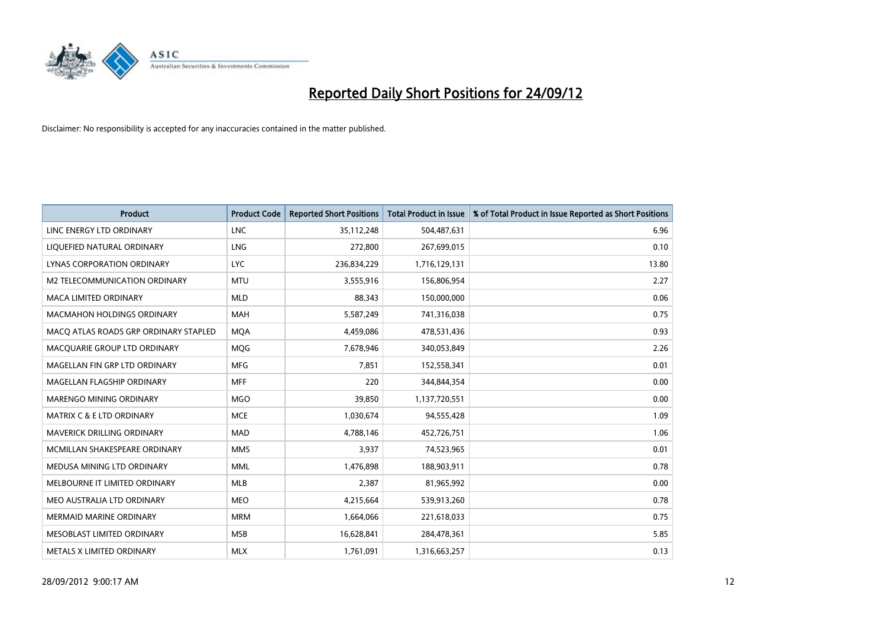

| <b>Product</b>                        | <b>Product Code</b> | <b>Reported Short Positions</b> | <b>Total Product in Issue</b> | % of Total Product in Issue Reported as Short Positions |
|---------------------------------------|---------------------|---------------------------------|-------------------------------|---------------------------------------------------------|
| LINC ENERGY LTD ORDINARY              | <b>LNC</b>          | 35,112,248                      | 504,487,631                   | 6.96                                                    |
| LIQUEFIED NATURAL ORDINARY            | LNG                 | 272,800                         | 267,699,015                   | 0.10                                                    |
| LYNAS CORPORATION ORDINARY            | <b>LYC</b>          | 236,834,229                     | 1,716,129,131                 | 13.80                                                   |
| M2 TELECOMMUNICATION ORDINARY         | <b>MTU</b>          | 3,555,916                       | 156,806,954                   | 2.27                                                    |
| <b>MACA LIMITED ORDINARY</b>          | <b>MLD</b>          | 88,343                          | 150,000,000                   | 0.06                                                    |
| <b>MACMAHON HOLDINGS ORDINARY</b>     | <b>MAH</b>          | 5,587,249                       | 741,316,038                   | 0.75                                                    |
| MACO ATLAS ROADS GRP ORDINARY STAPLED | <b>MOA</b>          | 4,459,086                       | 478,531,436                   | 0.93                                                    |
| MACQUARIE GROUP LTD ORDINARY          | <b>MOG</b>          | 7,678,946                       | 340,053,849                   | 2.26                                                    |
| MAGELLAN FIN GRP LTD ORDINARY         | <b>MFG</b>          | 7,851                           | 152,558,341                   | 0.01                                                    |
| MAGELLAN FLAGSHIP ORDINARY            | <b>MFF</b>          | 220                             | 344,844,354                   | 0.00                                                    |
| MARENGO MINING ORDINARY               | <b>MGO</b>          | 39,850                          | 1,137,720,551                 | 0.00                                                    |
| <b>MATRIX C &amp; E LTD ORDINARY</b>  | <b>MCE</b>          | 1,030,674                       | 94,555,428                    | 1.09                                                    |
| MAVERICK DRILLING ORDINARY            | <b>MAD</b>          | 4,788,146                       | 452,726,751                   | 1.06                                                    |
| MCMILLAN SHAKESPEARE ORDINARY         | <b>MMS</b>          | 3,937                           | 74,523,965                    | 0.01                                                    |
| MEDUSA MINING LTD ORDINARY            | <b>MML</b>          | 1,476,898                       | 188,903,911                   | 0.78                                                    |
| MELBOURNE IT LIMITED ORDINARY         | <b>MLB</b>          | 2,387                           | 81,965,992                    | 0.00                                                    |
| MEO AUSTRALIA LTD ORDINARY            | <b>MEO</b>          | 4,215,664                       | 539,913,260                   | 0.78                                                    |
| <b>MERMAID MARINE ORDINARY</b>        | <b>MRM</b>          | 1,664,066                       | 221,618,033                   | 0.75                                                    |
| MESOBLAST LIMITED ORDINARY            | <b>MSB</b>          | 16,628,841                      | 284,478,361                   | 5.85                                                    |
| METALS X LIMITED ORDINARY             | <b>MLX</b>          | 1,761,091                       | 1,316,663,257                 | 0.13                                                    |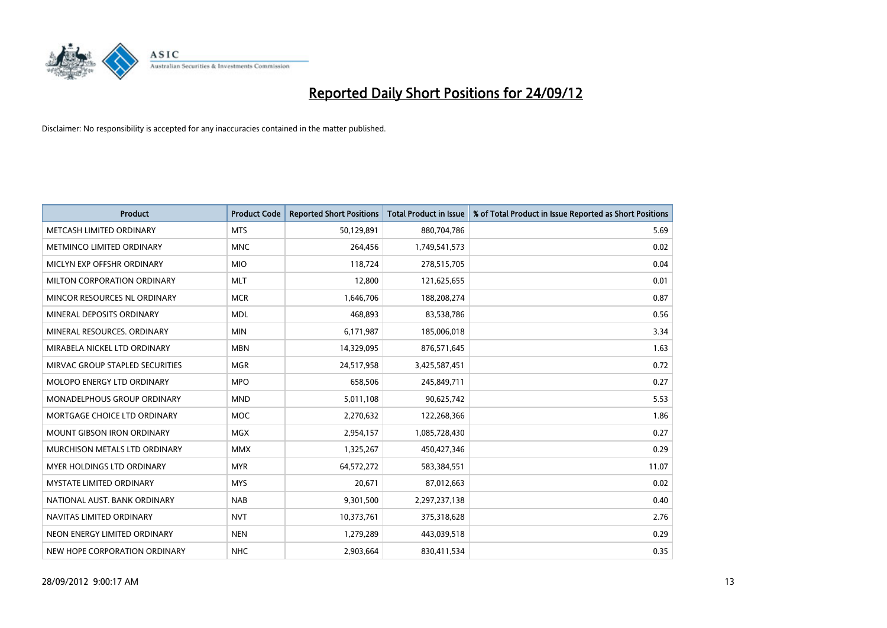

| <b>Product</b>                       | <b>Product Code</b> | <b>Reported Short Positions</b> | <b>Total Product in Issue</b> | % of Total Product in Issue Reported as Short Positions |
|--------------------------------------|---------------------|---------------------------------|-------------------------------|---------------------------------------------------------|
| METCASH LIMITED ORDINARY             | <b>MTS</b>          | 50,129,891                      | 880,704,786                   | 5.69                                                    |
| METMINCO LIMITED ORDINARY            | <b>MNC</b>          | 264,456                         | 1,749,541,573                 | 0.02                                                    |
| MICLYN EXP OFFSHR ORDINARY           | <b>MIO</b>          | 118,724                         | 278,515,705                   | 0.04                                                    |
| MILTON CORPORATION ORDINARY          | <b>MLT</b>          | 12,800                          | 121,625,655                   | 0.01                                                    |
| MINCOR RESOURCES NL ORDINARY         | <b>MCR</b>          | 1,646,706                       | 188,208,274                   | 0.87                                                    |
| MINERAL DEPOSITS ORDINARY            | <b>MDL</b>          | 468,893                         | 83,538,786                    | 0.56                                                    |
| MINERAL RESOURCES, ORDINARY          | <b>MIN</b>          | 6,171,987                       | 185,006,018                   | 3.34                                                    |
| MIRABELA NICKEL LTD ORDINARY         | <b>MBN</b>          | 14,329,095                      | 876,571,645                   | 1.63                                                    |
| MIRVAC GROUP STAPLED SECURITIES      | <b>MGR</b>          | 24,517,958                      | 3,425,587,451                 | 0.72                                                    |
| MOLOPO ENERGY LTD ORDINARY           | <b>MPO</b>          | 658,506                         | 245,849,711                   | 0.27                                                    |
| MONADELPHOUS GROUP ORDINARY          | <b>MND</b>          | 5,011,108                       | 90,625,742                    | 5.53                                                    |
| MORTGAGE CHOICE LTD ORDINARY         | <b>MOC</b>          | 2,270,632                       | 122,268,366                   | 1.86                                                    |
| MOUNT GIBSON IRON ORDINARY           | <b>MGX</b>          | 2,954,157                       | 1,085,728,430                 | 0.27                                                    |
| <b>MURCHISON METALS LTD ORDINARY</b> | <b>MMX</b>          | 1,325,267                       | 450,427,346                   | 0.29                                                    |
| <b>MYER HOLDINGS LTD ORDINARY</b>    | <b>MYR</b>          | 64,572,272                      | 583,384,551                   | 11.07                                                   |
| <b>MYSTATE LIMITED ORDINARY</b>      | <b>MYS</b>          | 20,671                          | 87,012,663                    | 0.02                                                    |
| NATIONAL AUST, BANK ORDINARY         | <b>NAB</b>          | 9,301,500                       | 2,297,237,138                 | 0.40                                                    |
| NAVITAS LIMITED ORDINARY             | <b>NVT</b>          | 10,373,761                      | 375,318,628                   | 2.76                                                    |
| NEON ENERGY LIMITED ORDINARY         | <b>NEN</b>          | 1,279,289                       | 443,039,518                   | 0.29                                                    |
| NEW HOPE CORPORATION ORDINARY        | <b>NHC</b>          | 2,903,664                       | 830,411,534                   | 0.35                                                    |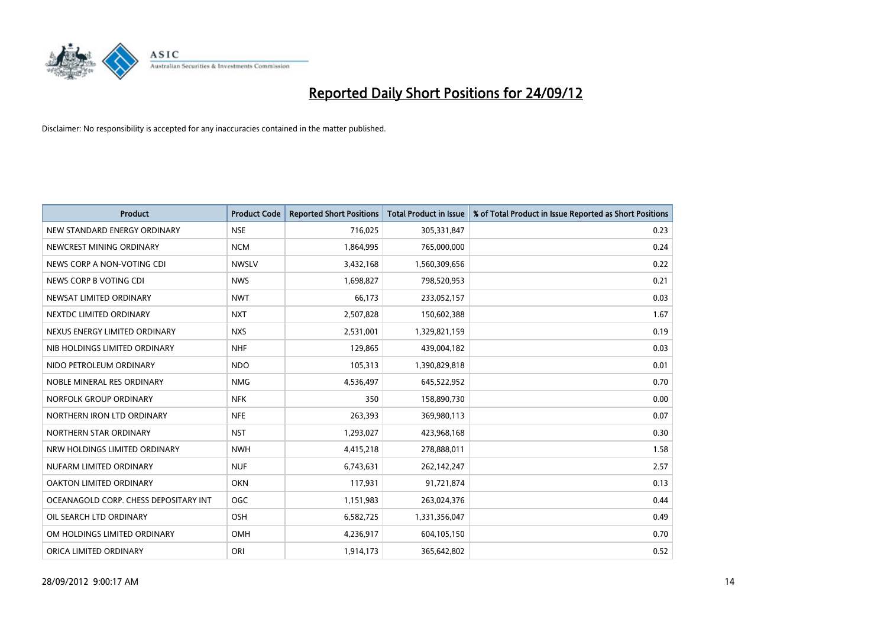

| <b>Product</b>                        | <b>Product Code</b> | <b>Reported Short Positions</b> | <b>Total Product in Issue</b> | % of Total Product in Issue Reported as Short Positions |
|---------------------------------------|---------------------|---------------------------------|-------------------------------|---------------------------------------------------------|
| NEW STANDARD ENERGY ORDINARY          | <b>NSE</b>          | 716,025                         | 305,331,847                   | 0.23                                                    |
| NEWCREST MINING ORDINARY              | <b>NCM</b>          | 1,864,995                       | 765,000,000                   | 0.24                                                    |
| NEWS CORP A NON-VOTING CDI            | <b>NWSLV</b>        | 3,432,168                       | 1,560,309,656                 | 0.22                                                    |
| NEWS CORP B VOTING CDI                | <b>NWS</b>          | 1,698,827                       | 798,520,953                   | 0.21                                                    |
| NEWSAT LIMITED ORDINARY               | <b>NWT</b>          | 66,173                          | 233,052,157                   | 0.03                                                    |
| NEXTDC LIMITED ORDINARY               | <b>NXT</b>          | 2,507,828                       | 150,602,388                   | 1.67                                                    |
| NEXUS ENERGY LIMITED ORDINARY         | <b>NXS</b>          | 2,531,001                       | 1,329,821,159                 | 0.19                                                    |
| NIB HOLDINGS LIMITED ORDINARY         | <b>NHF</b>          | 129,865                         | 439,004,182                   | 0.03                                                    |
| NIDO PETROLEUM ORDINARY               | <b>NDO</b>          | 105,313                         | 1,390,829,818                 | 0.01                                                    |
| NOBLE MINERAL RES ORDINARY            | <b>NMG</b>          | 4,536,497                       | 645,522,952                   | 0.70                                                    |
| NORFOLK GROUP ORDINARY                | <b>NFK</b>          | 350                             | 158,890,730                   | 0.00                                                    |
| NORTHERN IRON LTD ORDINARY            | <b>NFE</b>          | 263,393                         | 369,980,113                   | 0.07                                                    |
| NORTHERN STAR ORDINARY                | <b>NST</b>          | 1,293,027                       | 423,968,168                   | 0.30                                                    |
| NRW HOLDINGS LIMITED ORDINARY         | <b>NWH</b>          | 4,415,218                       | 278,888,011                   | 1.58                                                    |
| NUFARM LIMITED ORDINARY               | <b>NUF</b>          | 6,743,631                       | 262,142,247                   | 2.57                                                    |
| OAKTON LIMITED ORDINARY               | <b>OKN</b>          | 117,931                         | 91,721,874                    | 0.13                                                    |
| OCEANAGOLD CORP. CHESS DEPOSITARY INT | <b>OGC</b>          | 1,151,983                       | 263,024,376                   | 0.44                                                    |
| OIL SEARCH LTD ORDINARY               | OSH                 | 6,582,725                       | 1,331,356,047                 | 0.49                                                    |
| OM HOLDINGS LIMITED ORDINARY          | OMH                 | 4,236,917                       | 604,105,150                   | 0.70                                                    |
| ORICA LIMITED ORDINARY                | ORI                 | 1,914,173                       | 365,642,802                   | 0.52                                                    |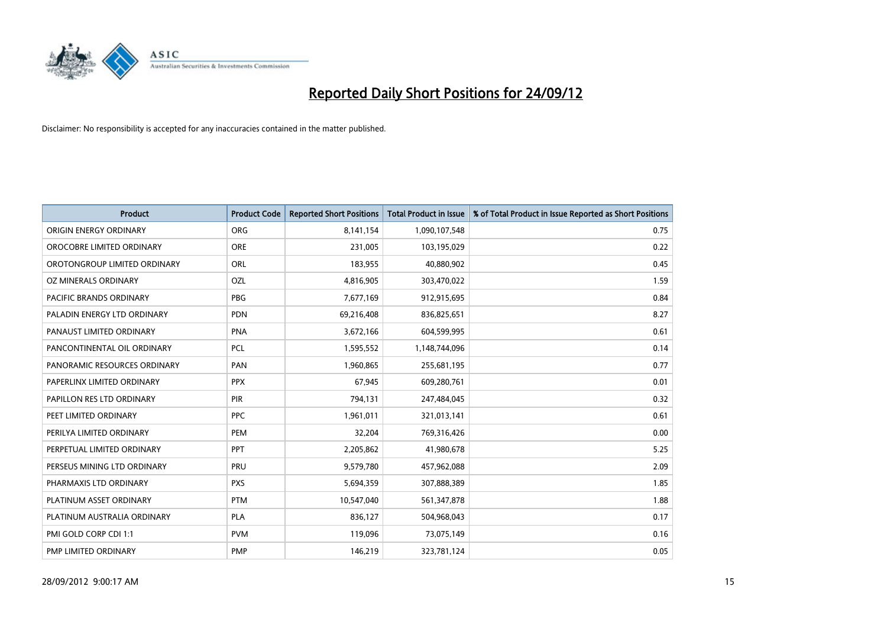

| <b>Product</b>               | <b>Product Code</b> | <b>Reported Short Positions</b> | <b>Total Product in Issue</b> | % of Total Product in Issue Reported as Short Positions |
|------------------------------|---------------------|---------------------------------|-------------------------------|---------------------------------------------------------|
| ORIGIN ENERGY ORDINARY       | <b>ORG</b>          | 8,141,154                       | 1,090,107,548                 | 0.75                                                    |
| OROCOBRE LIMITED ORDINARY    | <b>ORE</b>          | 231,005                         | 103,195,029                   | 0.22                                                    |
| OROTONGROUP LIMITED ORDINARY | ORL                 | 183,955                         | 40,880,902                    | 0.45                                                    |
| OZ MINERALS ORDINARY         | OZL                 | 4,816,905                       | 303,470,022                   | 1.59                                                    |
| PACIFIC BRANDS ORDINARY      | <b>PBG</b>          | 7,677,169                       | 912,915,695                   | 0.84                                                    |
| PALADIN ENERGY LTD ORDINARY  | <b>PDN</b>          | 69,216,408                      | 836,825,651                   | 8.27                                                    |
| PANAUST LIMITED ORDINARY     | <b>PNA</b>          | 3,672,166                       | 604,599,995                   | 0.61                                                    |
| PANCONTINENTAL OIL ORDINARY  | PCL                 | 1,595,552                       | 1,148,744,096                 | 0.14                                                    |
| PANORAMIC RESOURCES ORDINARY | PAN                 | 1,960,865                       | 255,681,195                   | 0.77                                                    |
| PAPERLINX LIMITED ORDINARY   | <b>PPX</b>          | 67,945                          | 609,280,761                   | 0.01                                                    |
| PAPILLON RES LTD ORDINARY    | <b>PIR</b>          | 794,131                         | 247,484,045                   | 0.32                                                    |
| PEET LIMITED ORDINARY        | <b>PPC</b>          | 1,961,011                       | 321,013,141                   | 0.61                                                    |
| PERILYA LIMITED ORDINARY     | PEM                 | 32,204                          | 769,316,426                   | 0.00                                                    |
| PERPETUAL LIMITED ORDINARY   | <b>PPT</b>          | 2,205,862                       | 41,980,678                    | 5.25                                                    |
| PERSEUS MINING LTD ORDINARY  | PRU                 | 9,579,780                       | 457,962,088                   | 2.09                                                    |
| PHARMAXIS LTD ORDINARY       | <b>PXS</b>          | 5,694,359                       | 307,888,389                   | 1.85                                                    |
| PLATINUM ASSET ORDINARY      | <b>PTM</b>          | 10,547,040                      | 561,347,878                   | 1.88                                                    |
| PLATINUM AUSTRALIA ORDINARY  | <b>PLA</b>          | 836,127                         | 504,968,043                   | 0.17                                                    |
| PMI GOLD CORP CDI 1:1        | <b>PVM</b>          | 119,096                         | 73,075,149                    | 0.16                                                    |
| PMP LIMITED ORDINARY         | <b>PMP</b>          | 146,219                         | 323,781,124                   | 0.05                                                    |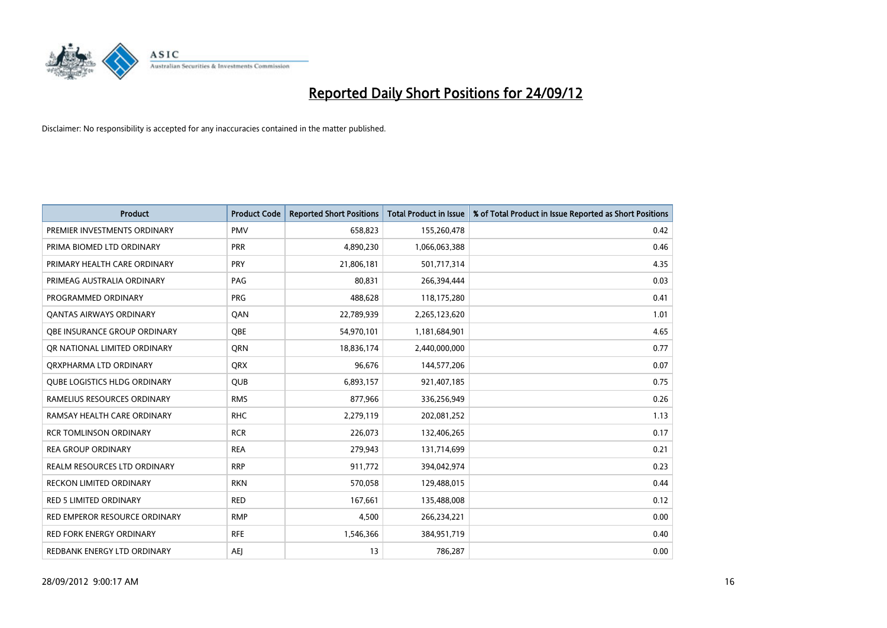

| <b>Product</b>                      | <b>Product Code</b> | <b>Reported Short Positions</b> | <b>Total Product in Issue</b> | % of Total Product in Issue Reported as Short Positions |
|-------------------------------------|---------------------|---------------------------------|-------------------------------|---------------------------------------------------------|
| PREMIER INVESTMENTS ORDINARY        | <b>PMV</b>          | 658,823                         | 155,260,478                   | 0.42                                                    |
| PRIMA BIOMED LTD ORDINARY           | <b>PRR</b>          | 4,890,230                       | 1,066,063,388                 | 0.46                                                    |
| PRIMARY HEALTH CARE ORDINARY        | <b>PRY</b>          | 21,806,181                      | 501,717,314                   | 4.35                                                    |
| PRIMEAG AUSTRALIA ORDINARY          | PAG                 | 80,831                          | 266,394,444                   | 0.03                                                    |
| PROGRAMMED ORDINARY                 | <b>PRG</b>          | 488,628                         | 118,175,280                   | 0.41                                                    |
| <b>QANTAS AIRWAYS ORDINARY</b>      | QAN                 | 22,789,939                      | 2,265,123,620                 | 1.01                                                    |
| OBE INSURANCE GROUP ORDINARY        | <b>OBE</b>          | 54,970,101                      | 1,181,684,901                 | 4.65                                                    |
| OR NATIONAL LIMITED ORDINARY        | <b>ORN</b>          | 18,836,174                      | 2,440,000,000                 | 0.77                                                    |
| ORXPHARMA LTD ORDINARY              | <b>ORX</b>          | 96,676                          | 144,577,206                   | 0.07                                                    |
| <b>QUBE LOGISTICS HLDG ORDINARY</b> | <b>QUB</b>          | 6,893,157                       | 921,407,185                   | 0.75                                                    |
| RAMELIUS RESOURCES ORDINARY         | <b>RMS</b>          | 877,966                         | 336,256,949                   | 0.26                                                    |
| RAMSAY HEALTH CARE ORDINARY         | <b>RHC</b>          | 2,279,119                       | 202,081,252                   | 1.13                                                    |
| <b>RCR TOMLINSON ORDINARY</b>       | <b>RCR</b>          | 226,073                         | 132,406,265                   | 0.17                                                    |
| <b>REA GROUP ORDINARY</b>           | <b>REA</b>          | 279,943                         | 131,714,699                   | 0.21                                                    |
| <b>REALM RESOURCES LTD ORDINARY</b> | <b>RRP</b>          | 911,772                         | 394,042,974                   | 0.23                                                    |
| RECKON LIMITED ORDINARY             | <b>RKN</b>          | 570,058                         | 129,488,015                   | 0.44                                                    |
| RED 5 LIMITED ORDINARY              | <b>RED</b>          | 167,661                         | 135,488,008                   | 0.12                                                    |
| RED EMPEROR RESOURCE ORDINARY       | <b>RMP</b>          | 4,500                           | 266,234,221                   | 0.00                                                    |
| <b>RED FORK ENERGY ORDINARY</b>     | <b>RFE</b>          | 1,546,366                       | 384,951,719                   | 0.40                                                    |
| REDBANK ENERGY LTD ORDINARY         | <b>AEI</b>          | 13                              | 786,287                       | 0.00                                                    |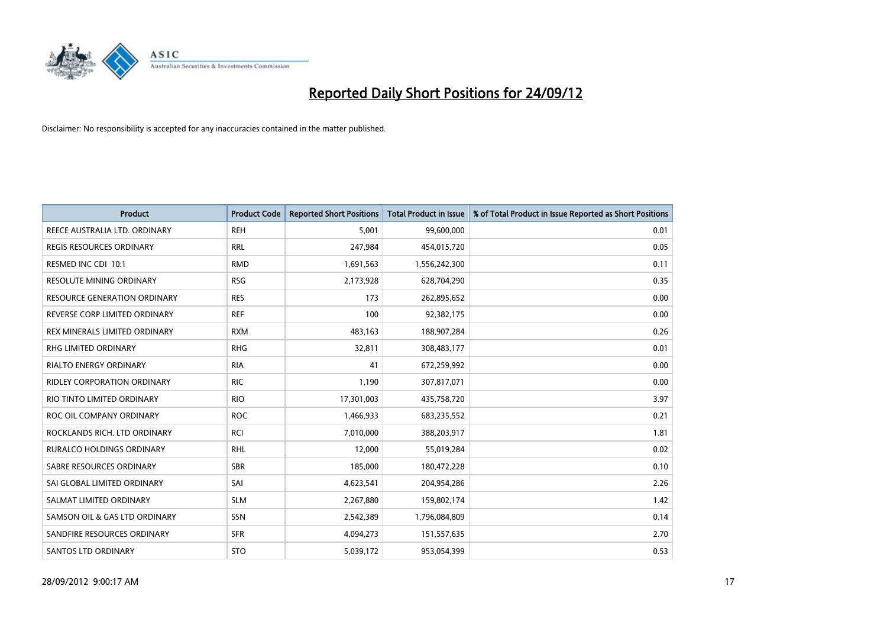

| <b>Product</b>                      | <b>Product Code</b> | <b>Reported Short Positions</b> | <b>Total Product in Issue</b> | % of Total Product in Issue Reported as Short Positions |
|-------------------------------------|---------------------|---------------------------------|-------------------------------|---------------------------------------------------------|
| REECE AUSTRALIA LTD. ORDINARY       | <b>REH</b>          | 5,001                           | 99,600,000                    | 0.01                                                    |
| REGIS RESOURCES ORDINARY            | <b>RRL</b>          | 247,984                         | 454,015,720                   | 0.05                                                    |
| RESMED INC CDI 10:1                 | <b>RMD</b>          | 1,691,563                       | 1,556,242,300                 | 0.11                                                    |
| RESOLUTE MINING ORDINARY            | <b>RSG</b>          | 2,173,928                       | 628,704,290                   | 0.35                                                    |
| <b>RESOURCE GENERATION ORDINARY</b> | <b>RES</b>          | 173                             | 262,895,652                   | 0.00                                                    |
| REVERSE CORP LIMITED ORDINARY       | <b>REF</b>          | 100                             | 92,382,175                    | 0.00                                                    |
| REX MINERALS LIMITED ORDINARY       | <b>RXM</b>          | 483,163                         | 188,907,284                   | 0.26                                                    |
| <b>RHG LIMITED ORDINARY</b>         | <b>RHG</b>          | 32,811                          | 308,483,177                   | 0.01                                                    |
| <b>RIALTO ENERGY ORDINARY</b>       | <b>RIA</b>          | 41                              | 672,259,992                   | 0.00                                                    |
| <b>RIDLEY CORPORATION ORDINARY</b>  | <b>RIC</b>          | 1,190                           | 307,817,071                   | 0.00                                                    |
| RIO TINTO LIMITED ORDINARY          | <b>RIO</b>          | 17,301,003                      | 435,758,720                   | 3.97                                                    |
| ROC OIL COMPANY ORDINARY            | <b>ROC</b>          | 1,466,933                       | 683,235,552                   | 0.21                                                    |
| ROCKLANDS RICH. LTD ORDINARY        | <b>RCI</b>          | 7,010,000                       | 388,203,917                   | 1.81                                                    |
| <b>RURALCO HOLDINGS ORDINARY</b>    | <b>RHL</b>          | 12,000                          | 55,019,284                    | 0.02                                                    |
| SABRE RESOURCES ORDINARY            | <b>SBR</b>          | 185,000                         | 180,472,228                   | 0.10                                                    |
| SAI GLOBAL LIMITED ORDINARY         | SAI                 | 4,623,541                       | 204,954,286                   | 2.26                                                    |
| SALMAT LIMITED ORDINARY             | <b>SLM</b>          | 2,267,880                       | 159,802,174                   | 1.42                                                    |
| SAMSON OIL & GAS LTD ORDINARY       | SSN                 | 2,542,389                       | 1,796,084,809                 | 0.14                                                    |
| SANDFIRE RESOURCES ORDINARY         | <b>SFR</b>          | 4,094,273                       | 151,557,635                   | 2.70                                                    |
| <b>SANTOS LTD ORDINARY</b>          | <b>STO</b>          | 5,039,172                       | 953,054,399                   | 0.53                                                    |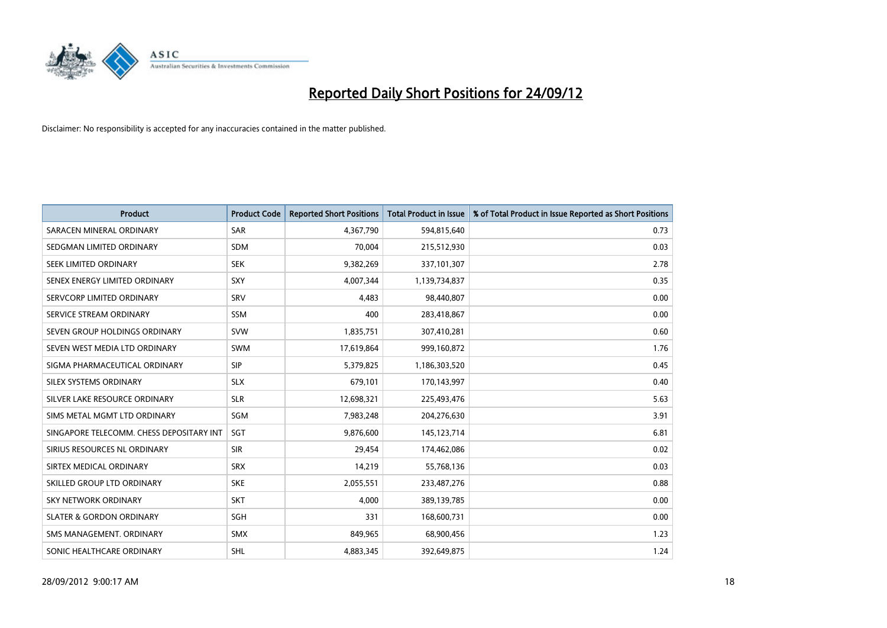

| <b>Product</b>                           | <b>Product Code</b> | <b>Reported Short Positions</b> | <b>Total Product in Issue</b> | % of Total Product in Issue Reported as Short Positions |
|------------------------------------------|---------------------|---------------------------------|-------------------------------|---------------------------------------------------------|
| SARACEN MINERAL ORDINARY                 | <b>SAR</b>          | 4,367,790                       | 594,815,640                   | 0.73                                                    |
| SEDGMAN LIMITED ORDINARY                 | <b>SDM</b>          | 70,004                          | 215,512,930                   | 0.03                                                    |
| <b>SEEK LIMITED ORDINARY</b>             | <b>SEK</b>          | 9,382,269                       | 337,101,307                   | 2.78                                                    |
| SENEX ENERGY LIMITED ORDINARY            | <b>SXY</b>          | 4,007,344                       | 1,139,734,837                 | 0.35                                                    |
| SERVCORP LIMITED ORDINARY                | SRV                 | 4,483                           | 98,440,807                    | 0.00                                                    |
| SERVICE STREAM ORDINARY                  | <b>SSM</b>          | 400                             | 283,418,867                   | 0.00                                                    |
| SEVEN GROUP HOLDINGS ORDINARY            | <b>SVW</b>          | 1,835,751                       | 307,410,281                   | 0.60                                                    |
| SEVEN WEST MEDIA LTD ORDINARY            | <b>SWM</b>          | 17,619,864                      | 999,160,872                   | 1.76                                                    |
| SIGMA PHARMACEUTICAL ORDINARY            | <b>SIP</b>          | 5,379,825                       | 1,186,303,520                 | 0.45                                                    |
| SILEX SYSTEMS ORDINARY                   | <b>SLX</b>          | 679,101                         | 170,143,997                   | 0.40                                                    |
| SILVER LAKE RESOURCE ORDINARY            | <b>SLR</b>          | 12,698,321                      | 225,493,476                   | 5.63                                                    |
| SIMS METAL MGMT LTD ORDINARY             | SGM                 | 7,983,248                       | 204,276,630                   | 3.91                                                    |
| SINGAPORE TELECOMM. CHESS DEPOSITARY INT | <b>SGT</b>          | 9,876,600                       | 145, 123, 714                 | 6.81                                                    |
| SIRIUS RESOURCES NL ORDINARY             | <b>SIR</b>          | 29,454                          | 174,462,086                   | 0.02                                                    |
| SIRTEX MEDICAL ORDINARY                  | <b>SRX</b>          | 14,219                          | 55,768,136                    | 0.03                                                    |
| SKILLED GROUP LTD ORDINARY               | <b>SKE</b>          | 2,055,551                       | 233,487,276                   | 0.88                                                    |
| SKY NETWORK ORDINARY                     | <b>SKT</b>          | 4,000                           | 389,139,785                   | 0.00                                                    |
| <b>SLATER &amp; GORDON ORDINARY</b>      | <b>SGH</b>          | 331                             | 168,600,731                   | 0.00                                                    |
| SMS MANAGEMENT, ORDINARY                 | <b>SMX</b>          | 849,965                         | 68,900,456                    | 1.23                                                    |
| SONIC HEALTHCARE ORDINARY                | <b>SHL</b>          | 4,883,345                       | 392,649,875                   | 1.24                                                    |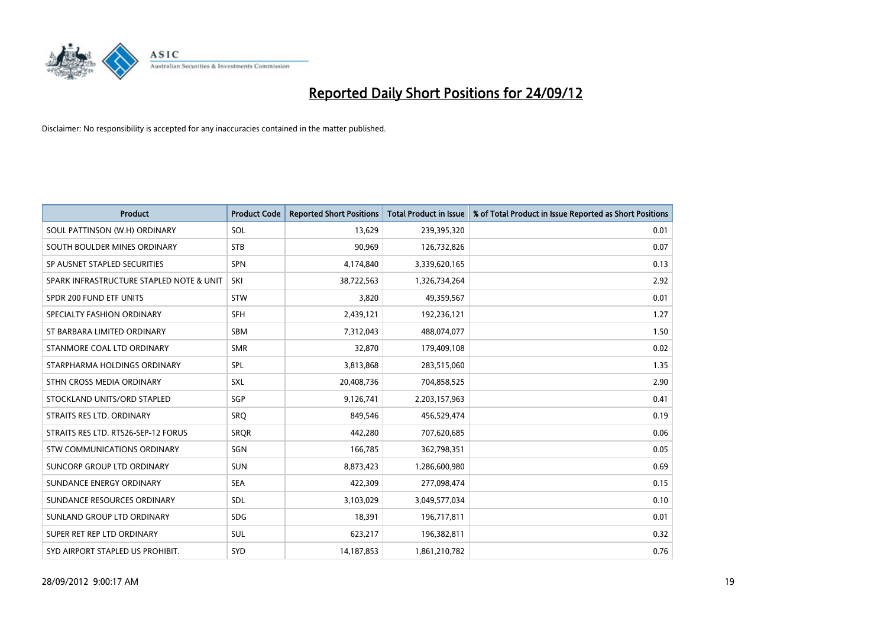

| <b>Product</b>                           | <b>Product Code</b> | <b>Reported Short Positions</b> | <b>Total Product in Issue</b> | % of Total Product in Issue Reported as Short Positions |
|------------------------------------------|---------------------|---------------------------------|-------------------------------|---------------------------------------------------------|
| SOUL PATTINSON (W.H) ORDINARY            | SOL                 | 13,629                          | 239,395,320                   | 0.01                                                    |
| SOUTH BOULDER MINES ORDINARY             | <b>STB</b>          | 90,969                          | 126,732,826                   | 0.07                                                    |
| SP AUSNET STAPLED SECURITIES             | <b>SPN</b>          | 4,174,840                       | 3,339,620,165                 | 0.13                                                    |
| SPARK INFRASTRUCTURE STAPLED NOTE & UNIT | SKI                 | 38,722,563                      | 1,326,734,264                 | 2.92                                                    |
| SPDR 200 FUND ETF UNITS                  | <b>STW</b>          | 3,820                           | 49,359,567                    | 0.01                                                    |
| SPECIALTY FASHION ORDINARY               | <b>SFH</b>          | 2,439,121                       | 192,236,121                   | 1.27                                                    |
| ST BARBARA LIMITED ORDINARY              | <b>SBM</b>          | 7,312,043                       | 488,074,077                   | 1.50                                                    |
| STANMORE COAL LTD ORDINARY               | <b>SMR</b>          | 32,870                          | 179,409,108                   | 0.02                                                    |
| STARPHARMA HOLDINGS ORDINARY             | SPL                 | 3,813,868                       | 283,515,060                   | 1.35                                                    |
| STHN CROSS MEDIA ORDINARY                | <b>SXL</b>          | 20,408,736                      | 704,858,525                   | 2.90                                                    |
| STOCKLAND UNITS/ORD STAPLED              | <b>SGP</b>          | 9,126,741                       | 2,203,157,963                 | 0.41                                                    |
| STRAITS RES LTD. ORDINARY                | SRO                 | 849,546                         | 456,529,474                   | 0.19                                                    |
| STRAITS RES LTD. RTS26-SEP-12 FORUS      | <b>SROR</b>         | 442,280                         | 707,620,685                   | 0.06                                                    |
| <b>STW COMMUNICATIONS ORDINARY</b>       | SGN                 | 166,785                         | 362,798,351                   | 0.05                                                    |
| SUNCORP GROUP LTD ORDINARY               | <b>SUN</b>          | 8,873,423                       | 1,286,600,980                 | 0.69                                                    |
| SUNDANCE ENERGY ORDINARY                 | <b>SEA</b>          | 422,309                         | 277,098,474                   | 0.15                                                    |
| SUNDANCE RESOURCES ORDINARY              | <b>SDL</b>          | 3,103,029                       | 3,049,577,034                 | 0.10                                                    |
| SUNLAND GROUP LTD ORDINARY               | <b>SDG</b>          | 18,391                          | 196,717,811                   | 0.01                                                    |
| SUPER RET REP LTD ORDINARY               | <b>SUL</b>          | 623,217                         | 196,382,811                   | 0.32                                                    |
| SYD AIRPORT STAPLED US PROHIBIT.         | <b>SYD</b>          | 14, 187, 853                    | 1,861,210,782                 | 0.76                                                    |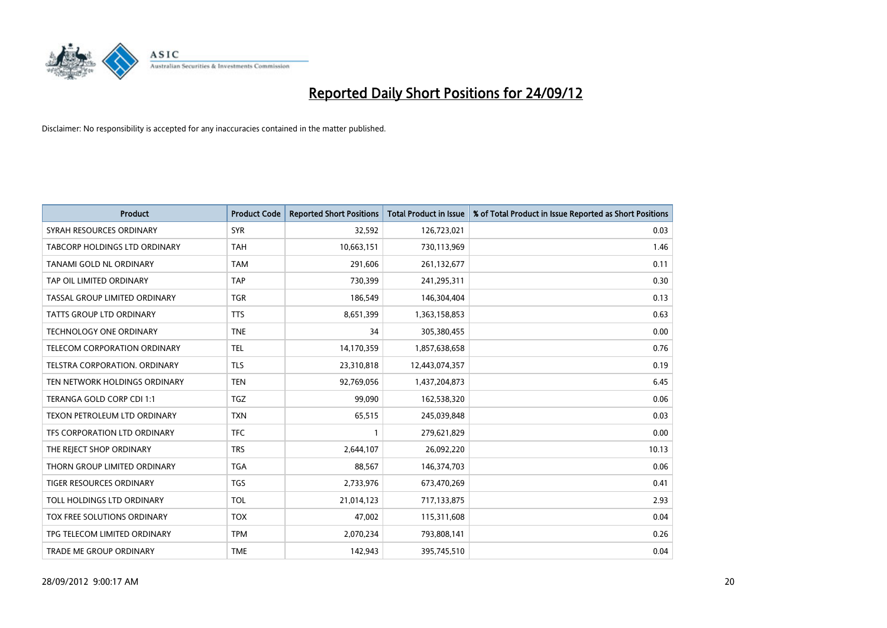

| <b>Product</b>                       | <b>Product Code</b> | <b>Reported Short Positions</b> | <b>Total Product in Issue</b> | % of Total Product in Issue Reported as Short Positions |
|--------------------------------------|---------------------|---------------------------------|-------------------------------|---------------------------------------------------------|
| SYRAH RESOURCES ORDINARY             | <b>SYR</b>          | 32,592                          | 126,723,021                   | 0.03                                                    |
| <b>TABCORP HOLDINGS LTD ORDINARY</b> | <b>TAH</b>          | 10,663,151                      | 730,113,969                   | 1.46                                                    |
| TANAMI GOLD NL ORDINARY              | <b>TAM</b>          | 291,606                         | 261,132,677                   | 0.11                                                    |
| TAP OIL LIMITED ORDINARY             | <b>TAP</b>          | 730,399                         | 241,295,311                   | 0.30                                                    |
| TASSAL GROUP LIMITED ORDINARY        | <b>TGR</b>          | 186,549                         | 146,304,404                   | 0.13                                                    |
| <b>TATTS GROUP LTD ORDINARY</b>      | <b>TTS</b>          | 8,651,399                       | 1,363,158,853                 | 0.63                                                    |
| <b>TECHNOLOGY ONE ORDINARY</b>       | <b>TNE</b>          | 34                              | 305,380,455                   | 0.00                                                    |
| TELECOM CORPORATION ORDINARY         | <b>TEL</b>          | 14,170,359                      | 1,857,638,658                 | 0.76                                                    |
| TELSTRA CORPORATION, ORDINARY        | <b>TLS</b>          | 23,310,818                      | 12,443,074,357                | 0.19                                                    |
| TEN NETWORK HOLDINGS ORDINARY        | <b>TEN</b>          | 92,769,056                      | 1,437,204,873                 | 6.45                                                    |
| TERANGA GOLD CORP CDI 1:1            | <b>TGZ</b>          | 99,090                          | 162,538,320                   | 0.06                                                    |
| <b>TEXON PETROLEUM LTD ORDINARY</b>  | <b>TXN</b>          | 65,515                          | 245,039,848                   | 0.03                                                    |
| TFS CORPORATION LTD ORDINARY         | <b>TFC</b>          |                                 | 279,621,829                   | 0.00                                                    |
| THE REJECT SHOP ORDINARY             | <b>TRS</b>          | 2,644,107                       | 26,092,220                    | 10.13                                                   |
| THORN GROUP LIMITED ORDINARY         | <b>TGA</b>          | 88,567                          | 146,374,703                   | 0.06                                                    |
| TIGER RESOURCES ORDINARY             | <b>TGS</b>          | 2,733,976                       | 673,470,269                   | 0.41                                                    |
| TOLL HOLDINGS LTD ORDINARY           | <b>TOL</b>          | 21,014,123                      | 717,133,875                   | 2.93                                                    |
| TOX FREE SOLUTIONS ORDINARY          | <b>TOX</b>          | 47,002                          | 115,311,608                   | 0.04                                                    |
| TPG TELECOM LIMITED ORDINARY         | <b>TPM</b>          | 2,070,234                       | 793,808,141                   | 0.26                                                    |
| TRADE ME GROUP ORDINARY              | <b>TME</b>          | 142,943                         | 395,745,510                   | 0.04                                                    |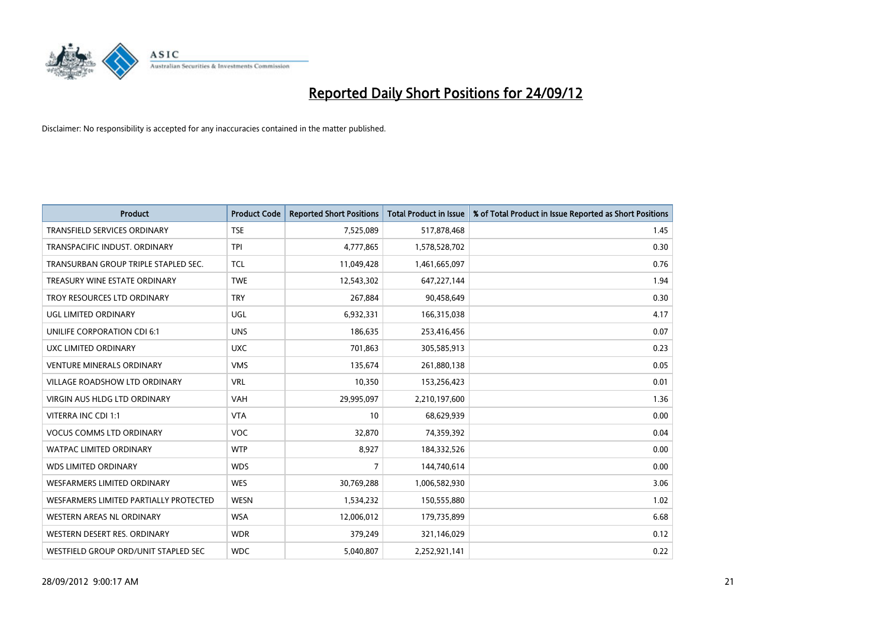

| <b>Product</b>                         | <b>Product Code</b> | <b>Reported Short Positions</b> | <b>Total Product in Issue</b> | % of Total Product in Issue Reported as Short Positions |
|----------------------------------------|---------------------|---------------------------------|-------------------------------|---------------------------------------------------------|
| <b>TRANSFIELD SERVICES ORDINARY</b>    | <b>TSE</b>          | 7,525,089                       | 517,878,468                   | 1.45                                                    |
| TRANSPACIFIC INDUST. ORDINARY          | <b>TPI</b>          | 4,777,865                       | 1,578,528,702                 | 0.30                                                    |
| TRANSURBAN GROUP TRIPLE STAPLED SEC.   | <b>TCL</b>          | 11,049,428                      | 1,461,665,097                 | 0.76                                                    |
| TREASURY WINE ESTATE ORDINARY          | <b>TWE</b>          | 12,543,302                      | 647,227,144                   | 1.94                                                    |
| TROY RESOURCES LTD ORDINARY            | <b>TRY</b>          | 267,884                         | 90,458,649                    | 0.30                                                    |
| UGL LIMITED ORDINARY                   | UGL                 | 6,932,331                       | 166,315,038                   | 4.17                                                    |
| UNILIFE CORPORATION CDI 6:1            | <b>UNS</b>          | 186,635                         | 253,416,456                   | 0.07                                                    |
| UXC LIMITED ORDINARY                   | <b>UXC</b>          | 701,863                         | 305,585,913                   | 0.23                                                    |
| <b>VENTURE MINERALS ORDINARY</b>       | <b>VMS</b>          | 135,674                         | 261,880,138                   | 0.05                                                    |
| <b>VILLAGE ROADSHOW LTD ORDINARY</b>   | <b>VRL</b>          | 10,350                          | 153,256,423                   | 0.01                                                    |
| <b>VIRGIN AUS HLDG LTD ORDINARY</b>    | <b>VAH</b>          | 29,995,097                      | 2,210,197,600                 | 1.36                                                    |
| VITERRA INC CDI 1:1                    | <b>VTA</b>          | 10                              | 68,629,939                    | 0.00                                                    |
| <b>VOCUS COMMS LTD ORDINARY</b>        | <b>VOC</b>          | 32,870                          | 74,359,392                    | 0.04                                                    |
| <b>WATPAC LIMITED ORDINARY</b>         | <b>WTP</b>          | 8,927                           | 184,332,526                   | 0.00                                                    |
| <b>WDS LIMITED ORDINARY</b>            | <b>WDS</b>          | 7                               | 144,740,614                   | 0.00                                                    |
| <b>WESFARMERS LIMITED ORDINARY</b>     | <b>WES</b>          | 30,769,288                      | 1,006,582,930                 | 3.06                                                    |
| WESFARMERS LIMITED PARTIALLY PROTECTED | <b>WESN</b>         | 1,534,232                       | 150,555,880                   | 1.02                                                    |
| WESTERN AREAS NL ORDINARY              | <b>WSA</b>          | 12,006,012                      | 179,735,899                   | 6.68                                                    |
| WESTERN DESERT RES. ORDINARY           | <b>WDR</b>          | 379,249                         | 321,146,029                   | 0.12                                                    |
| WESTFIELD GROUP ORD/UNIT STAPLED SEC   | <b>WDC</b>          | 5,040,807                       | 2,252,921,141                 | 0.22                                                    |